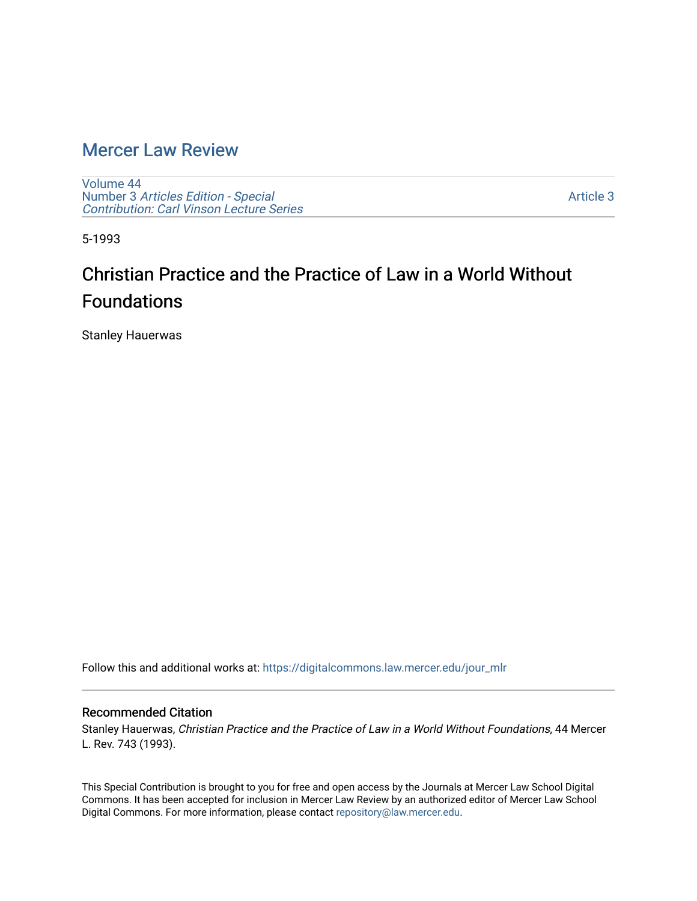### [Mercer Law Review](https://digitalcommons.law.mercer.edu/jour_mlr)

[Volume 44](https://digitalcommons.law.mercer.edu/jour_mlr/vol44) Number 3 [Articles Edition - Special](https://digitalcommons.law.mercer.edu/jour_mlr/vol44/iss3)  [Contribution: Carl Vinson Lecture Series](https://digitalcommons.law.mercer.edu/jour_mlr/vol44/iss3) 

[Article 3](https://digitalcommons.law.mercer.edu/jour_mlr/vol44/iss3/3) 

5-1993

## Christian Practice and the Practice of Law in a World Without Foundations

Stanley Hauerwas

Follow this and additional works at: [https://digitalcommons.law.mercer.edu/jour\\_mlr](https://digitalcommons.law.mercer.edu/jour_mlr?utm_source=digitalcommons.law.mercer.edu%2Fjour_mlr%2Fvol44%2Fiss3%2F3&utm_medium=PDF&utm_campaign=PDFCoverPages)

### Recommended Citation

Stanley Hauerwas, Christian Practice and the Practice of Law in a World Without Foundations, 44 Mercer L. Rev. 743 (1993).

This Special Contribution is brought to you for free and open access by the Journals at Mercer Law School Digital Commons. It has been accepted for inclusion in Mercer Law Review by an authorized editor of Mercer Law School Digital Commons. For more information, please contact [repository@law.mercer.edu](mailto:repository@law.mercer.edu).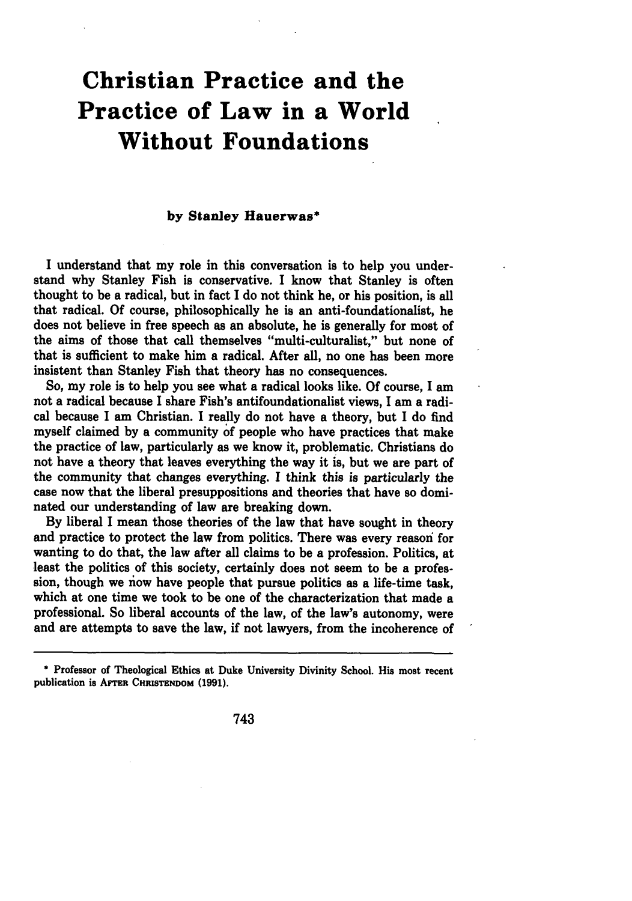# **Christian Practice and the Practice of Law in a World Without Foundations**

#### **by Stanley Hauerwas\***

**I** understand that my role in this conversation is to help you understand why Stanley Fish is conservative. I know that Stanley is often thought to be a radical, but in fact **I** do not think he, or his position, is all that radical. **Of** course, philosophically he is an anti-foundationalist, he does not believe in free speech as an absolute, he is generally for most of the aims of those that call themselves "multi-culturalist," but none of that is sufficient to make him a radical. After all, no one has been more insistent than Stanley Fish that theory has no consequences.

So, my role is to help you see what a radical looks like. **Of** course, **I** am not a radical because I share Fish's antifoundationalist views, I am a radical because **I** am Christian. **I** really do not have a theory, but I do find myself claimed **by** a community of people who have practices that make the practice of law, particularly as we know it, problematic. Christians do not have a theory that leaves everything the way it **is,** but we are part of the community that changes everything. **I** think this is particularly the case now that the liberal presuppositions and theories that have so dominated our understanding of law are breaking down.

**By** liberal I mean those theories of the law that have sought in theory and practice to protect the law from politics. There was every reasori for wanting to do that, the law after all claims to be a profession. Politics, at least the politics of this society, certainly does not seem to be a profession, though we **now** have people that pursue politics as a life-time task, which at one time we took to be one of the characterization that made a professional. So liberal accounts of the law, of the law's autonomy, were and are attempts to save the law, if not lawyers, from the incoherence of

743

**<sup>\*</sup>** Professor of Theological Ethics at Duke University Divinity School. His most recent publication is AFTER CHRISTENDOM (1991).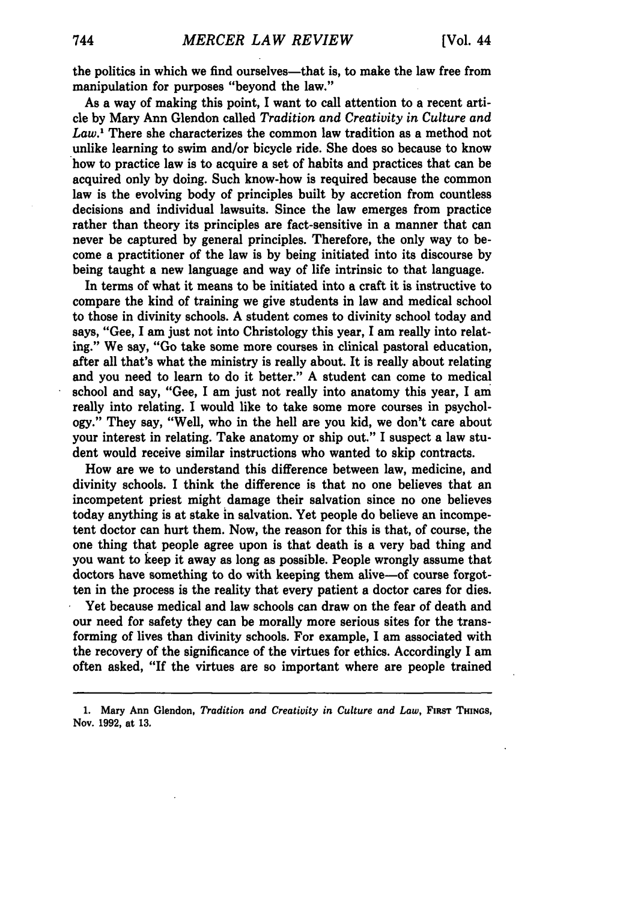the politics in which we find ourselves-that is, to make the law free from manipulation for purposes "beyond the law."

As a way of making this point, **I** want to call attention to a recent article **by** Mary Ann Glendon called *Tradition and Creativity in Culture and Law.'* There she characterizes the common law tradition as a method not unlike learning to swim and/or bicycle ride. She does so because to know how to practice law is to acquire a set of habits and practices that can be acquired only **by** doing. Such know-how is required because the common law is the evolving body of principles built **by** accretion from countless decisions and individual lawsuits. Since the law emerges from practice rather than theory its principles are fact-sensitive in a manner that can never be captured **by** general principles. Therefore, the only way to become a practitioner of the law is **by** being initiated into its discourse **by** being taught a new language and way of life intrinsic to that language.

In terms of what it means to be initiated into a craft it is instructive to compare the kind of training we give students in law and medical school to those in divinity schools. A student comes to divinity school today and says, "Gee, I am just not into Christology this year, I am really into relating." We say, "Go take some more courses in clinical pastoral education, after all that's what the ministry is really about. It is really about relating and you need to learn to do it better." A student can come to medical school and say, "Gee, I am just not really into anatomy this year, I am really into relating. I would like to take some more courses in psychology." They say, "Well, who in the hell are you kid, we don't care about your interest in relating. Take anatomy or ship out." I suspect a law student would receive similar instructions who wanted to skip contracts.

How are we to understand this difference between law, medicine, and divinity schools. I think the difference is that no one believes that an incompetent priest might damage their salvation since no one believes today anything is at stake in salvation. Yet people do believe an incompetent doctor can hurt them. Now, the reason for this is that, of course, the one thing that people agree upon is that death is a very bad thing and you want to keep it away as long as possible. People wrongly assume that doctors have something to do with keeping them alive-of course forgotten in the process is the reality that every patient a doctor cares for dies.

Yet because medical and law schools can draw on the fear of death and our need for safety they can be morally more serious sites for the transforming of lives than divinity schools. For example, I am associated with the recovery of the significance of the virtues for ethics. Accordingly I am often asked, "If the virtues are so important where are people trained

**<sup>1.</sup> Mary Ann** Glendon, *Tradition and Creativity in Culture and Law,* **FIRST THINGS, Nov. 1992, at 13.**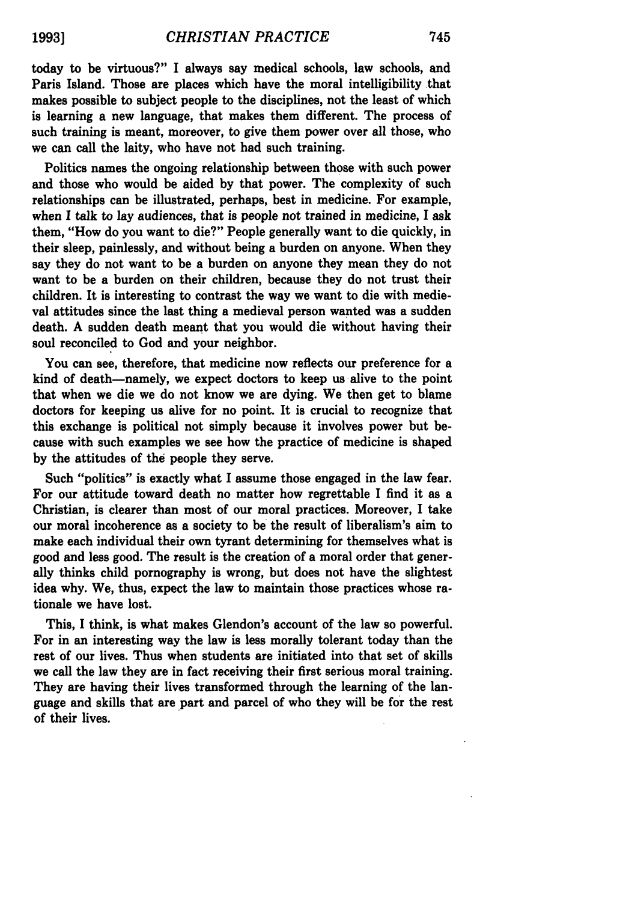today to be virtuous?" **I** always say medical schools, law schools, and Paris Island. Those are places which have the moral intelligibility that makes possible to subject people to the disciplines, not the least of which is learning a new language, that makes them different. The process of such training is meant, moreover, to give them power over all those, who we can call the laity, who have not had such training.

Politics names the ongoing relationship between those with such power and those who would be aided by that power. The complexity of such relationships can be illustrated, perhaps, best in medicine. For example, when I talk to lay audiences, that is people not trained in medicine, I ask them, "How do you want to die?" People generally want to die quickly, in their sleep, painlessly, and without being a burden on anyone. When they say they do not want to be a burden on anyone they mean they do not want to be a burden on their children, because they do not trust their children. It is interesting to contrast the way we want to die with medieval attitudes since the last thing a medieval person wanted was a sudden death. A sudden death meant that you would die without having their soul reconciled to God and your neighbor.

You can see, therefore, that medicine now reflects our preference for a kind of death-namely, we expect doctors to keep us alive to the point that when we die we do not know we are dying. We then get to blame doctors for keeping us alive for no point. It is crucial to recognize that this exchange is political not simply because it involves power but because with such examples we see how the practice of medicine is shaped by the attitudes of the people they serve.

Such "politics" is exactly what I assume those engaged in the law fear. For our attitude toward death no matter how regrettable I find it as a Christian, is clearer than most of our moral practices. Moreover, I take our moral incoherence as a society to be the result of liberalism's aim to make each individual their own tyrant determining for themselves what is good and less good. The result is the creation of a moral order that generally thinks child pornography is wrong, but does not have the slightest idea why. We, thus, expect the law to maintain those practices whose rationale we have lost.

This, I think, is what makes Glendon's account of the law so powerful. For in an interesting way the law is less morally tolerant today than the rest of our lives. Thus when students are initiated into that set of skills we call the law they are in fact receiving their first serious moral training. They are having their lives transformed through the learning of the language and skills that are part and parcel of who they will be for the rest of their lives.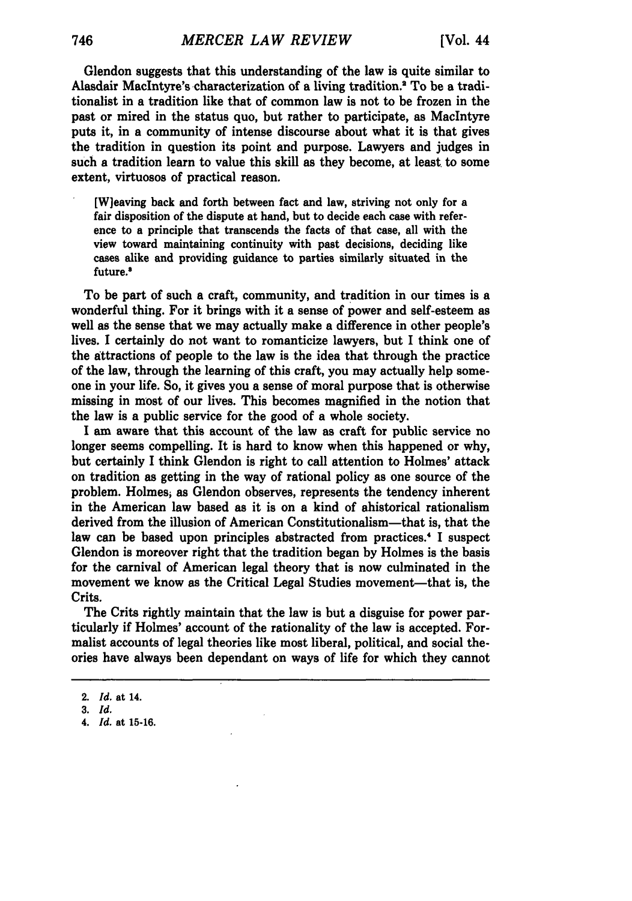Glendon suggests that this understanding of the law is quite similar to Alasdair Maclntyre's characterization of a living tradition.2 To be a traditionalist in a tradition like that of common law is not to be frozen in the past or mired in the status quo, but rather to participate, as Maclntyre puts it, in a community of intense discourse about what it is that gives the tradition in question its point and purpose. Lawyers and judges in such a tradition learn to value this skill as they become, at least to some extent, virtuosos of practical reason.

[Wjeaving back and forth between fact and law, striving not only for a fair disposition of the dispute at hand, but to decide each case with reference to a principle that transcends the facts of that case, all with the view toward maintaining continuity with past decisions, deciding like cases alike and providing guidance to parties similarly situated in the future.'

To be part of such a craft, community, and tradition in our times is a wonderful thing. For it brings with it a sense of power and self-esteem as well as the sense that we may actually make a difference in other people's lives. **I** certainly do not want to romanticize lawyers, but I think one of the attractions of people to the law is the idea that through the practice of the law, through the learning of this craft, you may actually help someone in your life. So, it gives you a sense of moral purpose that is otherwise missing in most of our lives. This becomes magnified in the notion that the law is a public service for the good of a whole society.

I am aware that this account of the law as craft for public service no longer seems compelling. It is hard to know when this happened or why, but certainly **I** think Glendon is right to call attention to Holmes' attack on tradition as getting in the way of rational policy as one source of the problem. Holmes, as Glendon observes, represents the tendency inherent in the American law based as it is on a kind of ahistorical rationalism derived from the illusion of American Constitutionalism-that is, that the law can be based upon principles abstracted from practices.' I suspect Glendon is moreover right that the tradition began **by** Holmes is the basis for the carnival of American legal theory that is now culminated in the movement we know as the Critical Legal Studies movement-that is, the Crits.

The Crits rightly maintain that the law is but a disguise for power particularly if Holmes' account of the rationality of the law is accepted. Formalist accounts of legal theories like most liberal, political, and social theories have always been dependant on ways of life for which they cannot

<sup>2.</sup> *Id.* at 14.

**<sup>3.</sup>** *Id.*

*<sup>4.</sup> Id.* at 15-16.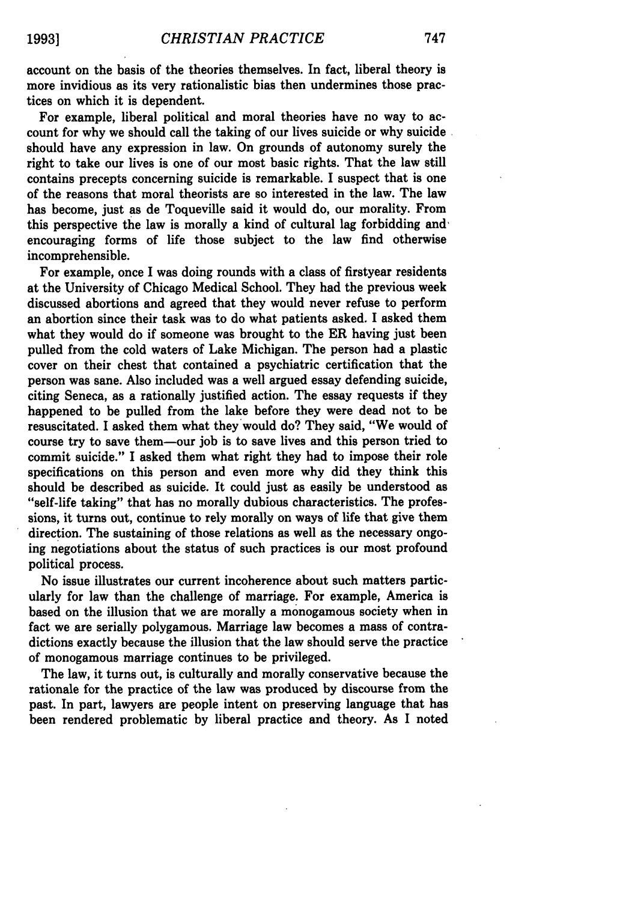account on the basis of the theories themselves. In fact, liberal theory is more invidious as its very rationalistic bias then undermines those practices on which it is dependent.

For example, liberal political and moral theories have no way to account for why we should call the taking of our lives suicide or why suicide should have any expression in law. On grounds of autonomy surely the right to take our lives is one of our most basic rights. That the law still contains precepts concerning suicide is remarkable. I suspect that is one of the reasons that moral theorists are so interested in the law. The law has become, just as de Toqueville said it would do, our morality. From this perspective the law is morally a kind of cultural lag forbidding and' encouraging forms of life those subject to the law find otherwise incomprehensible.

For example, once I was doing rounds with a class of firstyear residents at the University of Chicago Medical School. They had the previous week discussed abortions and agreed that they would never refuse to perform an abortion since their task was to do what patients asked. I asked them what they would do if someone was brought to the ER having just been pulled from the cold waters of Lake Michigan. The person had a plastic cover on their chest that contained a psychiatric certification that the person was sane. Also included was a well argued essay defending suicide, citing Seneca, as a rationally justified action. The essay requests if they happened to be pulled from the lake before they were dead not to be resuscitated. I asked them what they would do? They said, "We would of course try to save them-our **job** is to save lives and this person tried to commit suicide." I asked them what right they had to impose their role specifications on this person and even more why did they think this should be described as suicide. It could just as easily be understood as "self-life taking" that has no morally dubious characteristics. The professions, it turns out, continue to rely morally on ways of life that give them direction. The sustaining of those relations as well as the necessary ongoing negotiations about the status of such practices is our most profound political process.

No issue illustrates our current incoherence about such matters particularly for law than the challenge of marriage. For example, America is based on the illusion that we are morally a monogamous society when in fact we are serially polygamous. Marriage law becomes a mass of contradictions exactly because the illusion that the law should serve the practice of monogamous marriage continues to be privileged.

The law, it turns out, is culturally and morally conservative because the rationale for the practice of the law was produced by discourse from the past. In part, lawyers are people intent on preserving language that has been rendered problematic by liberal practice and theory. As I noted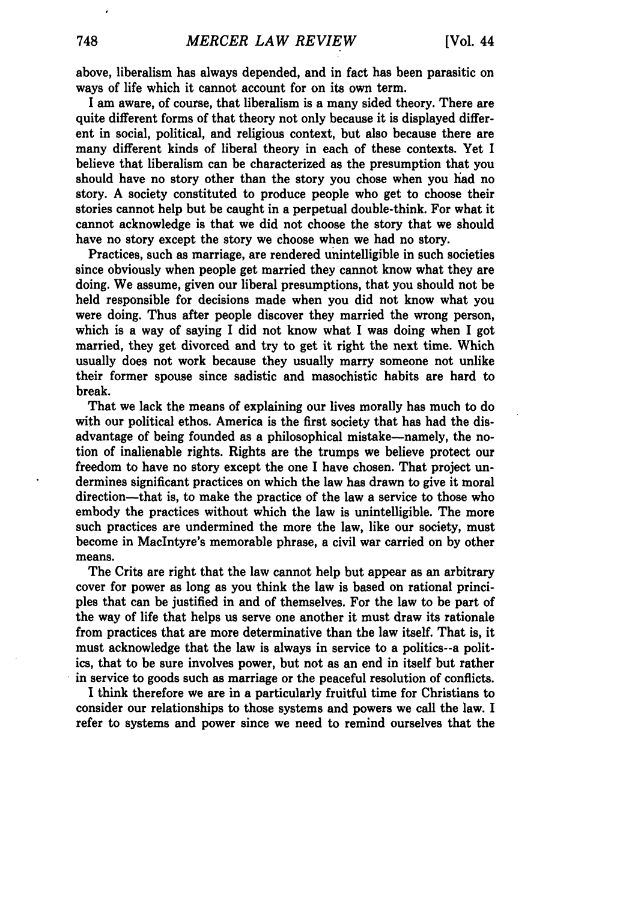above, liberalism has always depended, and in fact has been parasitic on ways of life which it cannot account for on its own term.

I am aware, of course, that liberalism is a many sided theory. There are quite different forms of that theory not only because it is displayed different in social, political, and religious context, but also because there are many different kinds of liberal theory in each of these contexts. Yet I believe that liberalism can be characterized as the presumption that you should have no story other than the story you chose when you had no story. A society constituted to produce people who get to choose their stories cannot help but be caught in a perpetual double-think. For what it cannot acknowledge is that we did not choose the story that we should have no story except the story we choose when we had no story.

Practices, such as marriage, are rendered unintelligible in such societies since obviously when people get married they cannot know what they are doing. We assume, given our liberal presumptions, that you should not be held responsible for decisions made when you did not know what you were doing. Thus after people discover they married the wrong person, which is a way of saying I did not know what I was doing when I got married, they get divorced and try to get it right the next time. Which usually does not work because they usually marry someone not unlike their former spouse since sadistic and masochistic habits are hard to break.

That we lack the means of explaining our lives morally has much to do with our political ethos. America is the first society that has had the disadvantage of being founded as a philosophical mistake-namely, the notion of inalienable rights. Rights are the trumps we believe protect our freedom to have no story except the one I have chosen. That project undermines significant practices on which the law has drawn to give it moral direction-that is, to make the practice of the law a service to those who embody the practices without which the law is unintelligible. The more such practices are undermined the more the law, like our society, must become in MacIntyre's memorable phrase, a civil war carried on by other means.

The Crits are right that the law cannot help but appear as an arbitrary cover for power as long as you think the law is based on rational principles that can be justified in and of themselves. For the law to be part of the way of life that helps us serve one another it must draw its rationale from practices that are more determinative than the law itself. That is, it must acknowledge that the law is always in service to a politics--a politics, that to be sure involves power, but not as an end in itself but rather in service to goods such as marriage or the peaceful resolution of conflicts.

**I** think therefore we are in a particularly fruitful time for Christians to consider our relationships to those systems and powers we call the law. I refer to systems and power since we need to remind ourselves that the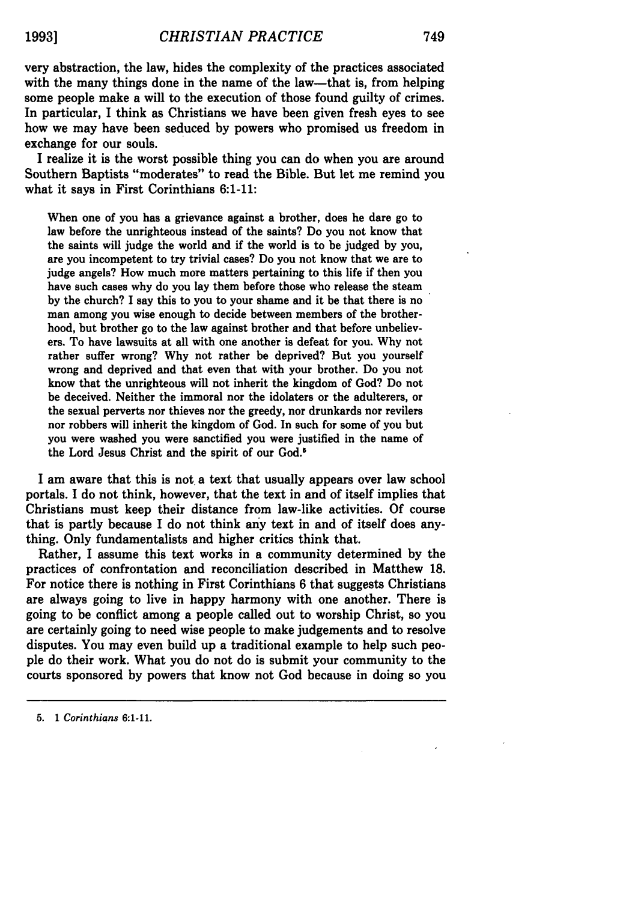very abstraction, the law, hides the complexity of the practices associated with the many things done in the name of the law—that is, from helping some people make a will to the execution of those found guilty of crimes. In particular, I think as Christians we have been given fresh eyes to see how we may have been seduced **by** powers who promised us freedom in exchange for our souls.

**I** realize it is the worst possible thing you can do when you are around Southern Baptists "moderates" to read the Bible. But let me remind you what it says in First Corinthians 6:1-11:

When one of you has a grievance against a brother, does he dare go to law before the unrighteous instead of the saints? Do you not know that the saints will judge the world and if the world is to be judged **by** you, are you incompetent to try trivial cases? Do you not know that we are to judge angels? How much more matters pertaining to this life if then you have such cases why do you lay them before those who release the steam **by** the church? **I** say this to you to your shame and it be that there is no man among you wise enough to decide between members of the brotherhood, but brother go to the law against brother and that before unbelievers. To have lawsuits at all with one another is defeat for you. **Why** not rather suffer wrong? **Why** not rather be deprived? But you yourself wrong and deprived and that even that with your brother. Do you not know that the unrighteous will not inherit the kingdom of God? Do not be deceived. Neither the immoral nor the idolaters or the adulterers, or the sexual perverts nor thieves nor the greedy, nor drunkards nor revilers nor robbers will inherit the kingdom of God. In such for some of you but you were washed you were sanctified you were justified in the name of the Lord Jesus Christ and the spirit of our God.'

I am aware that this is not a text that usually appears over law school portals. **I** do not think, however, that the text in and of itself implies that Christians must keep their distance from law-like activities. **Of** course that is partly because **I** do not think any text in and of itself does anything. Only fundamentalists and higher critics think that.

Rather, I assume this text works in a community determined **by** the practices of confrontation and reconciliation described in Matthew **18.** For notice there is nothing in First Corinthians 6 that suggests Christians are always going to live in happy harmony with one another. There is going to be conflict among a people called out to worship Christ, so you are certainly going to need wise people to make judgements and to resolve disputes. You may even build up a traditional example to help such people do their work. What you do not do is submit your community to the courts sponsored **by** powers that know not God because in doing so you

**<sup>5.</sup> 1** *Corinthians* **6:1-11.**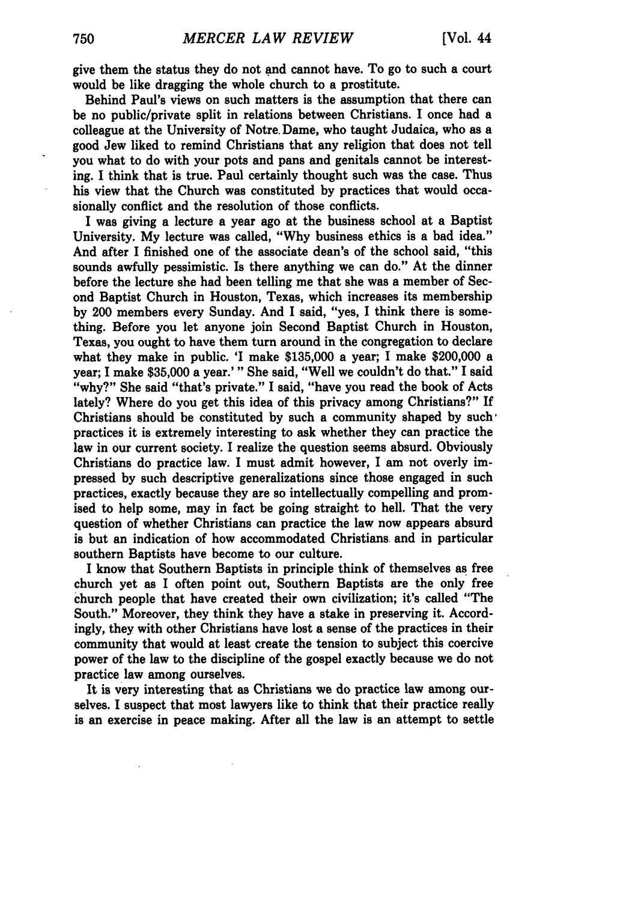give them the status they do not and cannot have. To go to such a court would be like dragging the whole church to a prostitute.

Behind Paul's views on such matters is the assumption that there can be no public/private split in relations between Christians. I once had a colleague at the University of Notre, Dame, who taught Judaica, who as a good Jew liked to remind Christians that any religion that does not tell you what to do with your pots and pans and genitals cannot be interesting. **I** think that is true. Paul certainly thought such was the case. Thus his view that the Church was constituted **by** practices that would occasionally conflict and the resolution of those conflicts.

**I** was giving a lecture a year ago at the business school at a Baptist University. **My** lecture was called, **"Why** business ethics is a bad idea." And after **I** finished one of the associate dean's of the school said, "this sounds awfully pessimistic. Is there anything we can do." At the dinner before the lecture she had been telling me that she was a member of Second Baptist Church in Houston, Texas, which increases its membership **by** 200 members every Sunday. And I said, "yes, **I** think there is something. Before you let anyone join Second Baptist Church in Houston, Texas, you ought to have them turn around in the congregation to declare what they make in public. 'I make **\$135,000** a year; I make \$200,000 a year; I make **\$35,000** a year.'" She said, "Well we couldn't do that." I said "why?" She said "that's private." **I** said, "have you read the book of Acts lately? Where do you get this idea of this privacy among Christians?" If Christians should be constituted **by** such a community shaped **by** such, practices it is extremely interesting to ask whether they can practice the law in our current society. I realize the question seems absurd. Obviously Christians do practice law. I must admit however, I am not overly impressed **by** such descriptive generalizations since those engaged in such practices, exactly because they are so intellectually compelling and promised to help some, may in fact be going straight to hell. That the very question of whether Christians can practice the law now appears absurd is but an indication of how accommodated Christians and in particular southern Baptists have become to our culture.

I know that Southern Baptists in principle think of themselves as free church yet as I often point out, Southern Baptists are the only free church people that have created their own civilization; it's called "The South." Moreover, they think they have a stake in preserving it. Accordingly, they with other Christians have lost a sense of the practices in their community that would at least create the tension to subject this coercive power of the law to the discipline of the gospel exactly because we do not practice law among ourselves.

It is very interesting that as Christians we do practice law among ourselves. I suspect that most lawyers like to think that their practice really is an exercise in peace making. After all the law is an attempt to settle